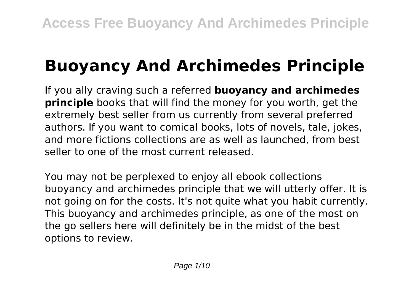# **Buoyancy And Archimedes Principle**

If you ally craving such a referred **buoyancy and archimedes principle** books that will find the money for you worth, get the extremely best seller from us currently from several preferred authors. If you want to comical books, lots of novels, tale, jokes, and more fictions collections are as well as launched, from best seller to one of the most current released.

You may not be perplexed to enjoy all ebook collections buoyancy and archimedes principle that we will utterly offer. It is not going on for the costs. It's not quite what you habit currently. This buoyancy and archimedes principle, as one of the most on the go sellers here will definitely be in the midst of the best options to review.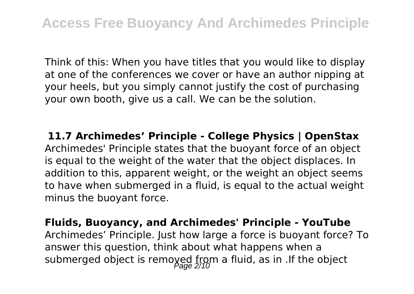Think of this: When you have titles that you would like to display at one of the conferences we cover or have an author nipping at your heels, but you simply cannot justify the cost of purchasing your own booth, give us a call. We can be the solution.

**11.7 Archimedes' Principle - College Physics | OpenStax** Archimedes' Principle states that the buoyant force of an object is equal to the weight of the water that the object displaces. In addition to this, apparent weight, or the weight an object seems to have when submerged in a fluid, is equal to the actual weight minus the buoyant force.

**Fluids, Buoyancy, and Archimedes' Principle - YouTube** Archimedes' Principle. Just how large a force is buoyant force? To answer this question, think about what happens when a submerged object is removed from a fluid, as in .If the object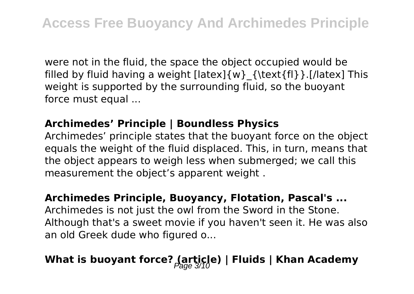were not in the fluid, the space the object occupied would be filled by fluid having a weight [latex]{w}\_{\text{fl}}.[/latex] This weight is supported by the surrounding fluid, so the buoyant force must equal ...

#### **Archimedes' Principle | Boundless Physics**

Archimedes' principle states that the buoyant force on the object equals the weight of the fluid displaced. This, in turn, means that the object appears to weigh less when submerged; we call this measurement the object's apparent weight .

# **Archimedes Principle, Buoyancy, Flotation, Pascal's ...**

Archimedes is not just the owl from the Sword in the Stone. Although that's a sweet movie if you haven't seen it. He was also an old Greek dude who figured o...

### **What is buoyant force? (article) | Fluids | Khan Academy**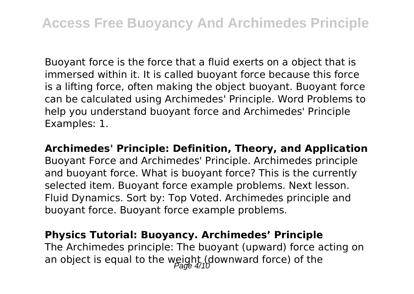Buoyant force is the force that a fluid exerts on a object that is immersed within it. It is called buoyant force because this force is a lifting force, often making the object buoyant. Buoyant force can be calculated using Archimedes' Principle. Word Problems to help you understand buoyant force and Archimedes' Principle Examples: 1.

**Archimedes' Principle: Definition, Theory, and Application** Buoyant Force and Archimedes' Principle. Archimedes principle and buoyant force. What is buoyant force? This is the currently selected item. Buoyant force example problems. Next lesson. Fluid Dynamics. Sort by: Top Voted. Archimedes principle and buoyant force. Buoyant force example problems.

#### **Physics Tutorial: Buoyancy. Archimedes' Principle**

The Archimedes principle: The buoyant (upward) force acting on an object is equal to the weight (downward force) of the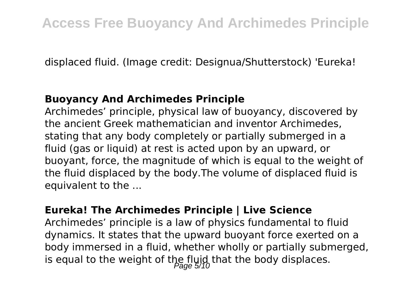displaced fluid. (Image credit: Designua/Shutterstock) 'Eureka!

#### **Buoyancy And Archimedes Principle**

Archimedes' principle, physical law of buoyancy, discovered by the ancient Greek mathematician and inventor Archimedes, stating that any body completely or partially submerged in a fluid (gas or liquid) at rest is acted upon by an upward, or buoyant, force, the magnitude of which is equal to the weight of the fluid displaced by the body.The volume of displaced fluid is equivalent to the ...

#### **Eureka! The Archimedes Principle | Live Science**

Archimedes' principle is a law of physics fundamental to fluid dynamics. It states that the upward buoyant force exerted on a body immersed in a fluid, whether wholly or partially submerged, is equal to the weight of the fluid that the body displaces.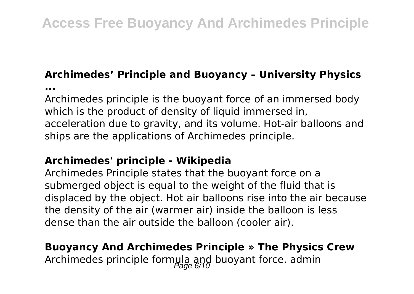### **Archimedes' Principle and Buoyancy – University Physics**

**...**

Archimedes principle is the buoyant force of an immersed body which is the product of density of liquid immersed in, acceleration due to gravity, and its volume. Hot-air balloons and ships are the applications of Archimedes principle.

#### **Archimedes' principle - Wikipedia**

Archimedes Principle states that the buoyant force on a submerged object is equal to the weight of the fluid that is displaced by the object. Hot air balloons rise into the air because the density of the air (warmer air) inside the balloon is less dense than the air outside the balloon (cooler air).

### **Buoyancy And Archimedes Principle » The Physics Crew** Archimedes principle formula and buoyant force. admin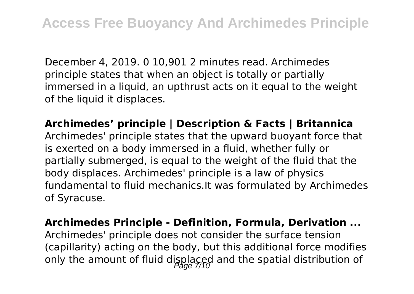December 4, 2019. 0 10,901 2 minutes read. Archimedes principle states that when an object is totally or partially immersed in a liquid, an upthrust acts on it equal to the weight of the liquid it displaces.

**Archimedes' principle | Description & Facts | Britannica** Archimedes' principle states that the upward buoyant force that is exerted on a body immersed in a fluid, whether fully or partially submerged, is equal to the weight of the fluid that the body displaces. Archimedes' principle is a law of physics fundamental to fluid mechanics.It was formulated by Archimedes of Syracuse.

**Archimedes Principle - Definition, Formula, Derivation ...**

Archimedes' principle does not consider the surface tension (capillarity) acting on the body, but this additional force modifies only the amount of fluid displaced and the spatial distribution of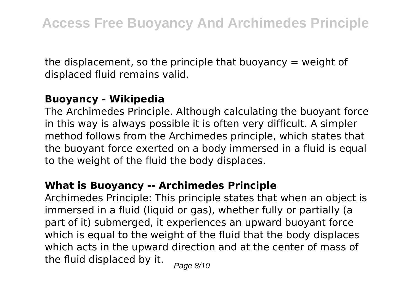the displacement, so the principle that buoyancy  $=$  weight of displaced fluid remains valid.

#### **Buoyancy - Wikipedia**

The Archimedes Principle. Although calculating the buoyant force in this way is always possible it is often very difficult. A simpler method follows from the Archimedes principle, which states that the buoyant force exerted on a body immersed in a fluid is equal to the weight of the fluid the body displaces.

#### **What is Buoyancy -- Archimedes Principle**

Archimedes Principle: This principle states that when an object is immersed in a fluid (liquid or gas), whether fully or partially (a part of it) submerged, it experiences an upward buoyant force which is equal to the weight of the fluid that the body displaces which acts in the upward direction and at the center of mass of the fluid displaced by it.  $_{\text{Page 8/10}}$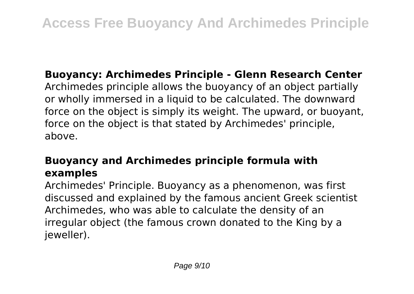#### **Buoyancy: Archimedes Principle - Glenn Research Center**

Archimedes principle allows the buoyancy of an object partially or wholly immersed in a liquid to be calculated. The downward force on the object is simply its weight. The upward, or buoyant, force on the object is that stated by Archimedes' principle, above.

### **Buoyancy and Archimedes principle formula with examples**

Archimedes' Principle. Buoyancy as a phenomenon, was first discussed and explained by the famous ancient Greek scientist Archimedes, who was able to calculate the density of an irregular object (the famous crown donated to the King by a ieweller).